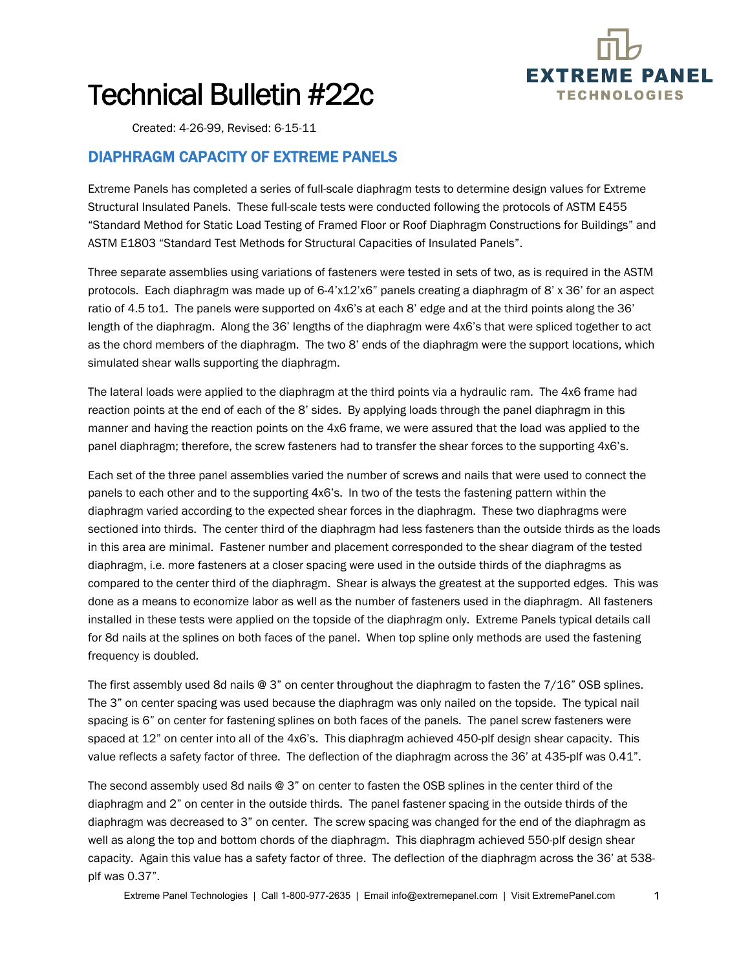

## Technical Bulletin #22c

Created: 4-26-99, Revised: 6-15-11

## DIAPHRAGM CAPACITY OF EXTREME PANELS

Extreme Panels has completed a series of full-scale diaphragm tests to determine design values for Extreme Structural Insulated Panels. These full-scale tests were conducted following the protocols of ASTM E455 "Standard Method for Static Load Testing of Framed Floor or Roof Diaphragm Constructions for Buildings" and ASTM E1803 "Standard Test Methods for Structural Capacities of Insulated Panels".

Three separate assemblies using variations of fasteners were tested in sets of two, as is required in the ASTM protocols. Each diaphragm was made up of 6-4'x12'x6" panels creating a diaphragm of 8' x 36' for an aspect ratio of 4.5 to1. The panels were supported on 4x6's at each 8' edge and at the third points along the 36' length of the diaphragm. Along the 36' lengths of the diaphragm were 4x6's that were spliced together to act as the chord members of the diaphragm. The two 8' ends of the diaphragm were the support locations, which simulated shear walls supporting the diaphragm.

The lateral loads were applied to the diaphragm at the third points via a hydraulic ram. The 4x6 frame had reaction points at the end of each of the 8' sides. By applying loads through the panel diaphragm in this manner and having the reaction points on the 4x6 frame, we were assured that the load was applied to the panel diaphragm; therefore, the screw fasteners had to transfer the shear forces to the supporting 4x6's.

Each set of the three panel assemblies varied the number of screws and nails that were used to connect the panels to each other and to the supporting 4x6's. In two of the tests the fastening pattern within the diaphragm varied according to the expected shear forces in the diaphragm. These two diaphragms were sectioned into thirds. The center third of the diaphragm had less fasteners than the outside thirds as the loads in this area are minimal. Fastener number and placement corresponded to the shear diagram of the tested diaphragm, i.e. more fasteners at a closer spacing were used in the outside thirds of the diaphragms as compared to the center third of the diaphragm. Shear is always the greatest at the supported edges. This was done as a means to economize labor as well as the number of fasteners used in the diaphragm. All fasteners installed in these tests were applied on the topside of the diaphragm only. Extreme Panels typical details call for 8d nails at the splines on both faces of the panel. When top spline only methods are used the fastening frequency is doubled.

The first assembly used 8d nails @ 3" on center throughout the diaphragm to fasten the 7/16" OSB splines. The 3" on center spacing was used because the diaphragm was only nailed on the topside. The typical nail spacing is 6" on center for fastening splines on both faces of the panels. The panel screw fasteners were spaced at 12" on center into all of the 4x6's. This diaphragm achieved 450-plf design shear capacity. This value reflects a safety factor of three. The deflection of the diaphragm across the 36' at 435-plf was 0.41".

The second assembly used 8d nails @ 3" on center to fasten the OSB splines in the center third of the diaphragm and 2" on center in the outside thirds. The panel fastener spacing in the outside thirds of the diaphragm was decreased to 3" on center. The screw spacing was changed for the end of the diaphragm as well as along the top and bottom chords of the diaphragm. This diaphragm achieved 550-plf design shear capacity. Again this value has a safety factor of three. The deflection of the diaphragm across the 36' at 538 plf was 0.37".